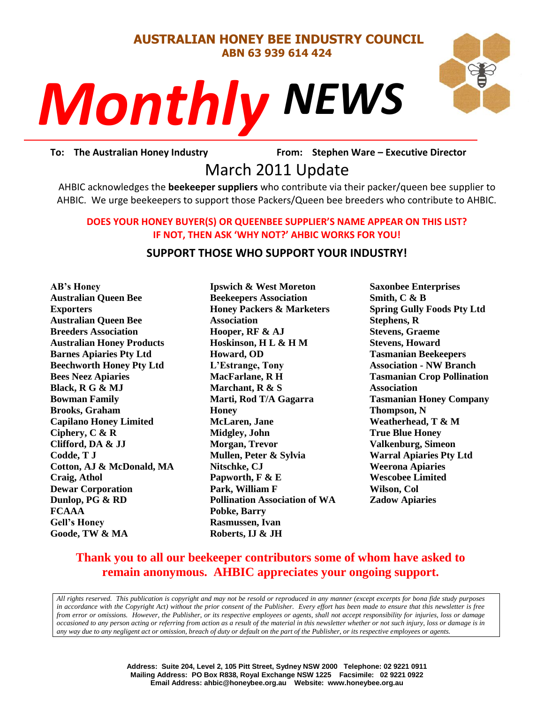#### **AUSTRALIAN HONEY BEE INDUSTRY COUNCIL ABN 63 939 614 424**

# *NEWS Monthly*

To: The Australian Honey Industry **From: Stephen Ware - Executive Director** 

## PORT TO THE PROPES VALUE OF THE PROPES VALUE OF THE PART OF THE PAPALE OF THE PAPALE OF THE PAPALE OF THE PAPALE OF THE PAPALE OF THE PAPALE OF THE PAPALE OF THE PAPALE OF THE PAPALE OF THE PAPALE OF THE PAPALE OF THE PAPA

AHBIC acknowledges the **beekeeper suppliers** who contribute via their packer/queen bee supplier to AHBIC. We urge beekeepers to support those Packers/Queen bee breeders who contribute to AHBIC.

#### **DOES YOUR HONEY BUYER(S) OR QUEENBEE SUPPLIER'S NAME APPEAR ON THIS LIST? IF NOT, THEN ASK 'WHY NOT?' AHBIC WORKS FOR YOU!**

#### **SUPPORT THOSE WHO SUPPORT YOUR INDUSTRY!**

**AB's Honey Australian Queen Bee Exporters Australian Queen Bee Breeders Association Australian Honey Products Barnes Apiaries Pty Ltd Beechworth Honey Pty Ltd Bees Neez Apiaries Black, R G & MJ Bowman Family Brooks, Graham Capilano Honey Limited Ciphery, C & R Clifford, DA & JJ Codde, T J Cotton, AJ & McDonald, MA Craig, Athol Dewar Corporation Dunlop, PG & RD FCAAA Gell's Honey Goode, TW & MA**

**Ipswich & West Moreton Beekeepers Association Honey Packers & Marketers Association Hooper, RF & AJ Hoskinson, H L & H M Howard, OD L'Estrange, Tony MacFarlane, R H Marchant, R & S Marti, Rod T/A Gagarra Honey McLaren, Jane Midgley, John Morgan, Trevor Mullen, Peter & Sylvia Nitschke, CJ Papworth, F & E Park, William F Pollination Association of WA Pobke, Barry Rasmussen, Ivan Roberts, IJ & JH**

**Saxonbee Enterprises Smith, C & B Spring Gully Foods Pty Ltd Stephens, R Stevens, Graeme Stevens, Howard Tasmanian Beekeepers Association - NW Branch Tasmanian Crop Pollination Association Tasmanian Honey Company Thompson, N Weatherhead, T & M True Blue Honey Valkenburg, Simeon Warral Apiaries Pty Ltd Weerona Apiaries Wescobee Limited Wilson, Col Zadow Apiaries**

#### **Thank you to all our beekeeper contributors some of whom have asked to remain anonymous. AHBIC appreciates your ongoing support.**

*All rights reserved. This publication is copyright and may not be resold or reproduced in any manner (except excerpts for bona fide study purposes in accordance with the Copyright Act) without the prior consent of the Publisher. Every effort has been made to ensure that this newsletter is free from error or omissions. However, the Publisher, or its respective employees or agents, shall not accept responsibility for injuries, loss or damage occasioned to any person acting or referring from action as a result of the material in this newsletter whether or not such injury, loss or damage is in any way due to any negligent act or omission, breach of duty or default on the part of the Publisher, or its respective employees or agents.*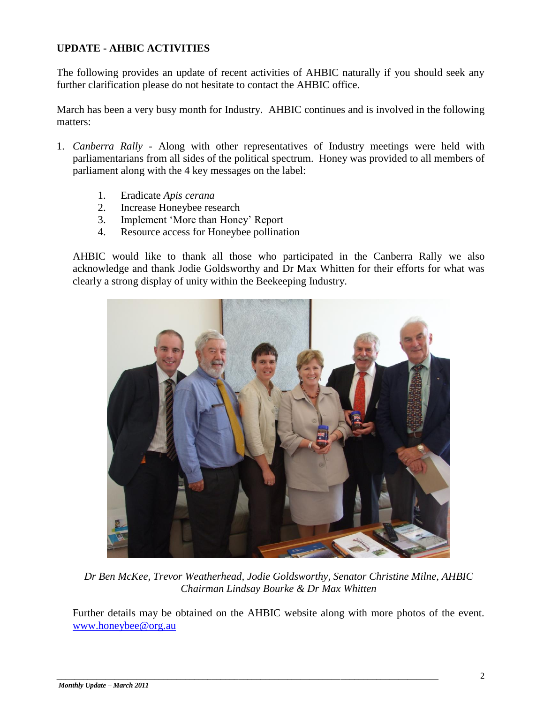#### **UPDATE - AHBIC ACTIVITIES**

The following provides an update of recent activities of AHBIC naturally if you should seek any further clarification please do not hesitate to contact the AHBIC office.

March has been a very busy month for Industry. AHBIC continues and is involved in the following matters:

- 1. *Canberra Rally -* Along with other representatives of Industry meetings were held with parliamentarians from all sides of the political spectrum. Honey was provided to all members of parliament along with the 4 key messages on the label:
	- 1. Eradicate *Apis cerana*
	- 2. Increase Honeybee research
	- 3. Implement "More than Honey" Report
	- 4. Resource access for Honeybee pollination

AHBIC would like to thank all those who participated in the Canberra Rally we also acknowledge and thank Jodie Goldsworthy and Dr Max Whitten for their efforts for what was clearly a strong display of unity within the Beekeeping Industry.



*Dr Ben McKee, Trevor Weatherhead, Jodie Goldsworthy, Senator Christine Milne, AHBIC Chairman Lindsay Bourke & Dr Max Whitten*

Further details may be obtained on the AHBIC website along with more photos of the event. [www.honeybee@org.au](http://www.honeybee@org.au/)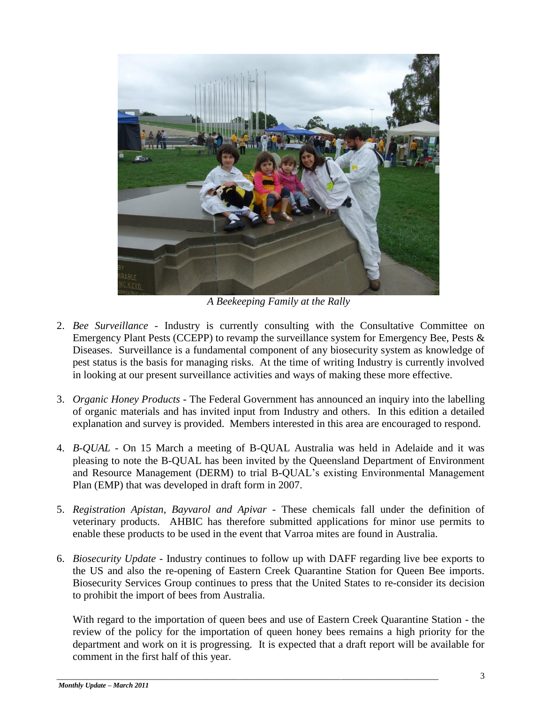

*A Beekeeping Family at the Rally*

- 2. *Bee Surveillance -* Industry is currently consulting with the Consultative Committee on Emergency Plant Pests (CCEPP) to revamp the surveillance system for Emergency Bee, Pests & Diseases. Surveillance is a fundamental component of any biosecurity system as knowledge of pest status is the basis for managing risks. At the time of writing Industry is currently involved in looking at our present surveillance activities and ways of making these more effective.
- 3. *Organic Honey Products -* The Federal Government has announced an inquiry into the labelling of organic materials and has invited input from Industry and others. In this edition a detailed explanation and survey is provided. Members interested in this area are encouraged to respond.
- 4. *B-QUAL -* On 15 March a meeting of B-QUAL Australia was held in Adelaide and it was pleasing to note the B-QUAL has been invited by the Queensland Department of Environment and Resource Management (DERM) to trial B-QUAL"s existing Environmental Management Plan (EMP) that was developed in draft form in 2007.
- 5. *Registration Apistan, Bayvarol and Apivar -* These chemicals fall under the definition of veterinary products. AHBIC has therefore submitted applications for minor use permits to enable these products to be used in the event that Varroa mites are found in Australia.
- 6. *Biosecurity Update -* Industry continues to follow up with DAFF regarding live bee exports to the US and also the re-opening of Eastern Creek Quarantine Station for Queen Bee imports. Biosecurity Services Group continues to press that the United States to re-consider its decision to prohibit the import of bees from Australia.

With regard to the importation of queen bees and use of Eastern Creek Quarantine Station - the review of the policy for the importation of queen honey bees remains a high priority for the department and work on it is progressing. It is expected that a draft report will be available for comment in the first half of this year.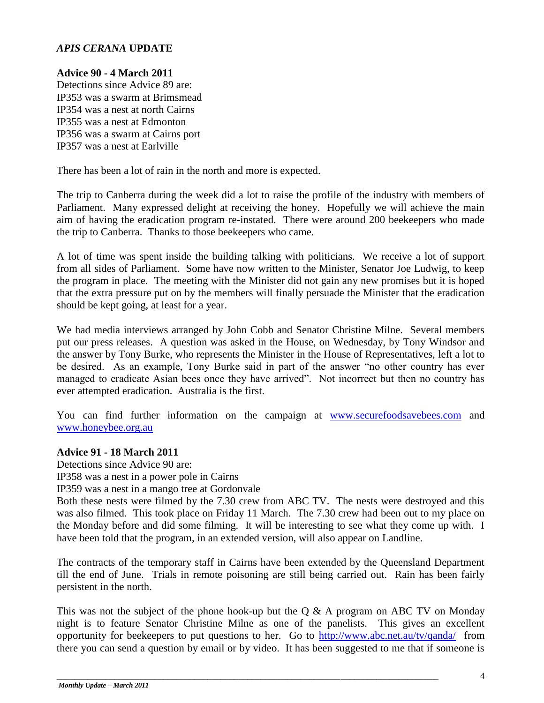#### *APIS CERANA* **UPDATE**

#### **Advice 90 - 4 March 2011**

Detections since Advice 89 are: IP353 was a swarm at Brimsmead IP354 was a nest at north Cairns IP355 was a nest at Edmonton IP356 was a swarm at Cairns port IP357 was a nest at Earlville

There has been a lot of rain in the north and more is expected.

The trip to Canberra during the week did a lot to raise the profile of the industry with members of Parliament. Many expressed delight at receiving the honey. Hopefully we will achieve the main aim of having the eradication program re-instated. There were around 200 beekeepers who made the trip to Canberra. Thanks to those beekeepers who came.

A lot of time was spent inside the building talking with politicians. We receive a lot of support from all sides of Parliament. Some have now written to the Minister, Senator Joe Ludwig, to keep the program in place. The meeting with the Minister did not gain any new promises but it is hoped that the extra pressure put on by the members will finally persuade the Minister that the eradication should be kept going, at least for a year.

We had media interviews arranged by John Cobb and Senator Christine Milne. Several members put our press releases. A question was asked in the House, on Wednesday, by Tony Windsor and the answer by Tony Burke, who represents the Minister in the House of Representatives, left a lot to be desired. As an example, Tony Burke said in part of the answer "no other country has ever managed to eradicate Asian bees once they have arrived". Not incorrect but then no country has ever attempted eradication. Australia is the first.

You can find further information on the campaign at [www.securefoodsavebees.com](http://www.securefoodsavebees.com/) and [www.honeybee.org.au](http://www.honeybee.org.au/)

#### **Advice 91 - 18 March 2011**

Detections since Advice 90 are:

IP358 was a nest in a power pole in Cairns

IP359 was a nest in a mango tree at Gordonvale

Both these nests were filmed by the 7.30 crew from ABC TV. The nests were destroyed and this was also filmed. This took place on Friday 11 March. The 7.30 crew had been out to my place on the Monday before and did some filming. It will be interesting to see what they come up with. I have been told that the program, in an extended version, will also appear on Landline.

The contracts of the temporary staff in Cairns have been extended by the Queensland Department till the end of June. Trials in remote poisoning are still being carried out. Rain has been fairly persistent in the north.

This was not the subject of the phone hook-up but the  $Q \& A$  program on ABC TV on Monday night is to feature Senator Christine Milne as one of the panelists. This gives an excellent opportunity for beekeepers to put questions to her. Go to<http://www.abc.net.au/tv/qanda/>from there you can send a question by email or by video. It has been suggested to me that if someone is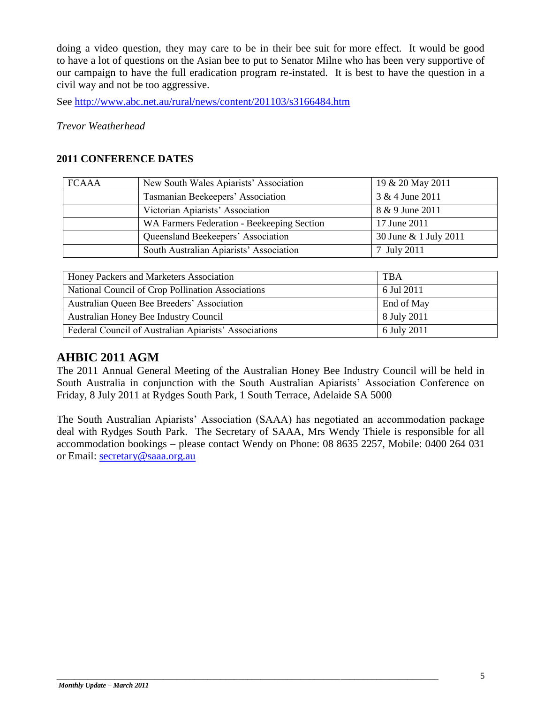doing a video question, they may care to be in their bee suit for more effect. It would be good to have a lot of questions on the Asian bee to put to Senator Milne who has been very supportive of our campaign to have the full eradication program re-instated. It is best to have the question in a civil way and not be too aggressive.

See<http://www.abc.net.au/rural/news/content/201103/s3166484.htm>

*Trevor Weatherhead* 

#### **2011 CONFERENCE DATES**

| <b>FCAAA</b> | New South Wales Apiarists' Association     | 19 & 20 May 2011      |  |
|--------------|--------------------------------------------|-----------------------|--|
|              | Tasmanian Beekeepers' Association          | 3 & 4 June 2011       |  |
|              | Victorian Apiarists' Association           | 8 & 9 June 2011       |  |
|              | WA Farmers Federation - Beekeeping Section | 17 June 2011          |  |
|              | Queensland Beekeepers' Association         | 30 June & 1 July 2011 |  |
|              | South Australian Apiarists' Association    | 7 July 2011           |  |

| Honey Packers and Marketers Association               | <b>TBA</b>  |
|-------------------------------------------------------|-------------|
| National Council of Crop Pollination Associations     | 6 Jul 2011  |
| Australian Queen Bee Breeders' Association            | End of May  |
| Australian Honey Bee Industry Council                 | 8 July 2011 |
| Federal Council of Australian Apiarists' Associations | 6 July 2011 |

#### **AHBIC 2011 AGM**

The 2011 Annual General Meeting of the Australian Honey Bee Industry Council will be held in South Australia in conjunction with the South Australian Apiarists" Association Conference on Friday, 8 July 2011 at Rydges South Park, 1 South Terrace, Adelaide SA 5000

The South Australian Apiarists" Association (SAAA) has negotiated an accommodation package deal with Rydges South Park. The Secretary of SAAA, Mrs Wendy Thiele is responsible for all accommodation bookings – please contact Wendy on Phone: 08 8635 2257, Mobile: 0400 264 031 or Email: [secretary@saaa.org.au](mailto:secretary@saaa.org.au)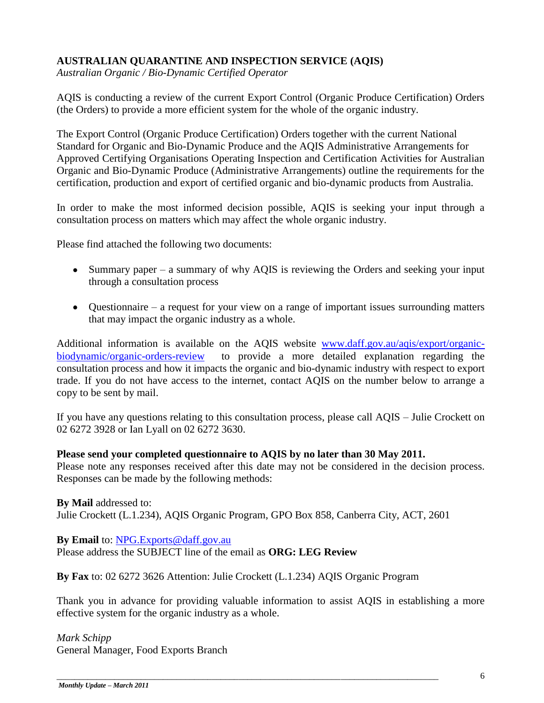#### **AUSTRALIAN QUARANTINE AND INSPECTION SERVICE (AQIS)**

*Australian Organic / Bio-Dynamic Certified Operator*

AQIS is conducting a review of the current Export Control (Organic Produce Certification) Orders (the Orders) to provide a more efficient system for the whole of the organic industry.

The Export Control (Organic Produce Certification) Orders together with the current National Standard for Organic and Bio-Dynamic Produce and the AQIS Administrative Arrangements for Approved Certifying Organisations Operating Inspection and Certification Activities for Australian Organic and Bio-Dynamic Produce (Administrative Arrangements) outline the requirements for the certification, production and export of certified organic and bio-dynamic products from Australia.

In order to make the most informed decision possible, AQIS is seeking your input through a consultation process on matters which may affect the whole organic industry.

Please find attached the following two documents:

- Summary paper a summary of why AQIS is reviewing the Orders and seeking your input through a consultation process
- Questionnaire a request for your view on a range of important issues surrounding matters that may impact the organic industry as a whole.

Additional information is available on the AQIS website [www.daff.gov.au/aqis/export/organic](http://www.daff.gov.au/aqis/export/organic-biodynamic/organic-orders-review)[biodynamic/organic-orders-review](http://www.daff.gov.au/aqis/export/organic-biodynamic/organic-orders-review) to provide a more detailed explanation regarding the consultation process and how it impacts the organic and bio-dynamic industry with respect to export trade. If you do not have access to the internet, contact AQIS on the number below to arrange a copy to be sent by mail.

If you have any questions relating to this consultation process, please call AQIS – Julie Crockett on 02 6272 3928 or Ian Lyall on 02 6272 3630.

#### **Please send your completed questionnaire to AQIS by no later than 30 May 2011.**

Please note any responses received after this date may not be considered in the decision process. Responses can be made by the following methods:

**By Mail** addressed to: Julie Crockett (L.1.234), AQIS Organic Program, GPO Box 858, Canberra City, ACT, 2601

**By Email** to: [NPG.Exports@daff.gov.au](mailto:NPG.Exports@daff.gov.au) Please address the SUBJECT line of the email as **ORG: LEG Review**

**By Fax** to: 02 6272 3626 Attention: Julie Crockett (L.1.234) AQIS Organic Program

\_\_\_\_\_\_\_\_\_\_\_\_\_\_\_\_\_\_\_\_\_\_\_\_\_\_\_\_\_\_\_\_\_\_\_\_\_\_\_\_\_\_\_\_\_\_\_\_\_\_\_\_\_\_\_\_\_\_\_\_\_\_\_\_\_\_\_\_\_\_\_\_\_\_\_\_\_\_\_\_\_\_\_\_\_\_

Thank you in advance for providing valuable information to assist AQIS in establishing a more effective system for the organic industry as a whole.

*Mark Schipp* General Manager, Food Exports Branch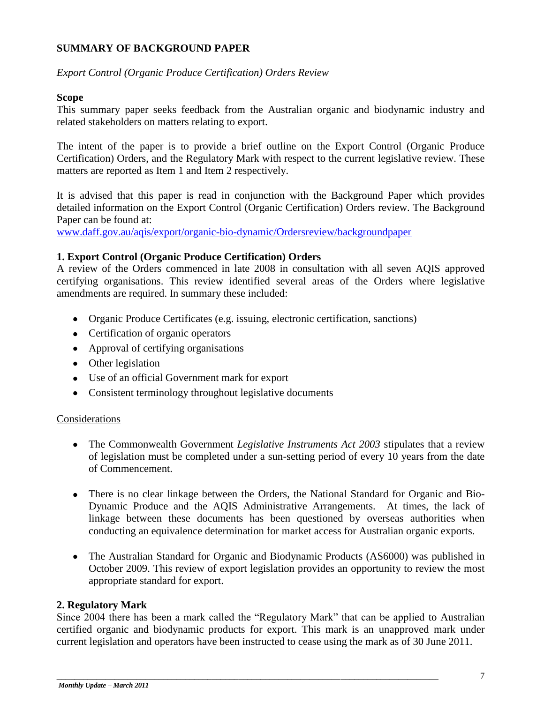#### **SUMMARY OF BACKGROUND PAPER**

#### *Export Control (Organic Produce Certification) Orders Review*

#### **Scope**

This summary paper seeks feedback from the Australian organic and biodynamic industry and related stakeholders on matters relating to export.

The intent of the paper is to provide a brief outline on the Export Control (Organic Produce Certification) Orders, and the Regulatory Mark with respect to the current legislative review. These matters are reported as Item 1 and Item 2 respectively.

It is advised that this paper is read in conjunction with the Background Paper which provides detailed information on the Export Control (Organic Certification) Orders review. The Background Paper can be found at:

[www.daff.gov.au/aqis/export/organic-bio-dynamic/Ordersreview/backgroundpaper](http://www.daff.gov.au/aqis/export/organic-bio-dynamic/Ordersreview/backgroundpaper)

#### **1. Export Control (Organic Produce Certification) Orders**

A review of the Orders commenced in late 2008 in consultation with all seven AQIS approved certifying organisations. This review identified several areas of the Orders where legislative amendments are required. In summary these included:

- Organic Produce Certificates (e.g. issuing, electronic certification, sanctions)
- Certification of organic operators
- Approval of certifying organisations
- Other legislation
- Use of an official Government mark for export
- Consistent terminology throughout legislative documents

#### Considerations

- The Commonwealth Government *Legislative Instruments Act 2003* stipulates that a review of legislation must be completed under a sun-setting period of every 10 years from the date of Commencement.
- There is no clear linkage between the Orders, the National Standard for Organic and Bio-Dynamic Produce and the AQIS Administrative Arrangements. At times, the lack of linkage between these documents has been questioned by overseas authorities when conducting an equivalence determination for market access for Australian organic exports.
- The Australian Standard for Organic and Biodynamic Products (AS6000) was published in October 2009. This review of export legislation provides an opportunity to review the most appropriate standard for export.

#### **2. Regulatory Mark**

Since 2004 there has been a mark called the "Regulatory Mark" that can be applied to Australian certified organic and biodynamic products for export. This mark is an unapproved mark under current legislation and operators have been instructed to cease using the mark as of 30 June 2011.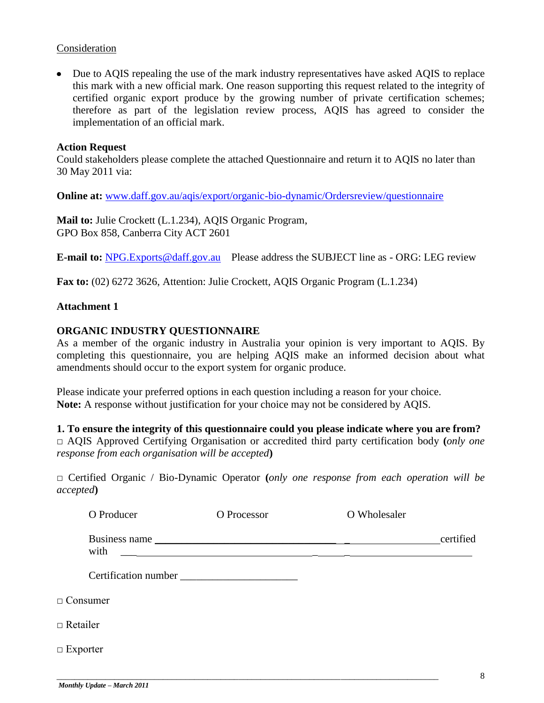#### Consideration

• Due to AQIS repealing the use of the mark industry representatives have asked AQIS to replace this mark with a new official mark. One reason supporting this request related to the integrity of certified organic export produce by the growing number of private certification schemes; therefore as part of the legislation review process, AQIS has agreed to consider the implementation of an official mark.

#### **Action Request**

Could stakeholders please complete the attached Questionnaire and return it to AQIS no later than 30 May 2011 via:

**Online at:** [www.daff.gov.au/aqis/export/organic-bio-dynamic/Ordersreview/questionnaire](http://www.daff.gov.au/aqis/export/organic-bio-dynamic/Ordersreview/questionnaire)

**Mail to:** Julie Crockett (L.1.234), AQIS Organic Program, GPO Box 858, Canberra City ACT 2601

**E-mail to:** [NPG.Exports@daff.gov.au](mailto:NPG.Exports@daff.gov.au) Please address the SUBJECT line as - ORG: LEG review

**Fax to:** (02) 6272 3626, Attention: Julie Crockett, AQIS Organic Program (L.1.234)

#### **Attachment 1**

#### **ORGANIC INDUSTRY QUESTIONNAIRE**

As a member of the organic industry in Australia your opinion is very important to AQIS. By completing this questionnaire, you are helping AQIS make an informed decision about what amendments should occur to the export system for organic produce.

Please indicate your preferred options in each question including a reason for your choice. **Note:** A response without justification for your choice may not be considered by AQIS.

**1. To ensure the integrity of this questionnaire could you please indicate where you are from?**

**□** AQIS Approved Certifying Organisation or accredited third party certification body **(***only one response from each organisation will be accepted***)**

**□** Certified Organic / Bio-Dynamic Operator **(***only one response from each operation will be accepted***)**

| O Producer      | O Processor          | O Wholesaler |           |
|-----------------|----------------------|--------------|-----------|
| with            | Business name        |              | certified |
|                 | Certification number |              |           |
| $\Box$ Consumer |                      |              |           |
| $\Box$ Retailer |                      |              |           |
| $\Box$ Exporter |                      |              |           |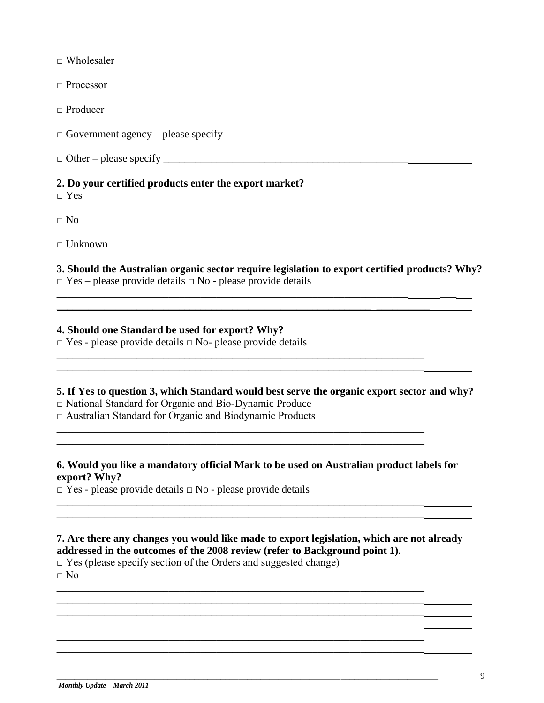$\Box$  Wholesaler

□ Processor

□ Producer

**□** Government agency – please specify

□ Other **–** please specify \_\_\_\_\_\_\_\_\_\_\_\_\_\_\_\_\_\_\_\_\_\_\_\_\_\_\_\_\_\_\_\_\_\_\_\_\_\_\_\_\_\_\_\_\_\_

#### **2. Do your certified products enter the export market?**

□ Yes

**□** No

**□** Unknown

**3. Should the Australian organic sector require legislation to export certified products? Why? □** Yes – please provide details **□** No - please provide details

 $\mathcal{L}_\mathcal{L} = \mathcal{L}_\mathcal{L} = \mathcal{L}_\mathcal{L} = \mathcal{L}_\mathcal{L} = \mathcal{L}_\mathcal{L} = \mathcal{L}_\mathcal{L} = \mathcal{L}_\mathcal{L} = \mathcal{L}_\mathcal{L} = \mathcal{L}_\mathcal{L} = \mathcal{L}_\mathcal{L} = \mathcal{L}_\mathcal{L} = \mathcal{L}_\mathcal{L} = \mathcal{L}_\mathcal{L} = \mathcal{L}_\mathcal{L} = \mathcal{L}_\mathcal{L} = \mathcal{L}_\mathcal{L} = \mathcal{L}_\mathcal{L}$ \_\_\_\_\_\_\_\_\_\_\_\_\_\_\_\_\_\_\_\_\_\_\_\_\_\_\_\_\_\_\_\_\_\_\_\_\_\_\_\_\_\_\_\_\_\_\_\_\_\_\_\_\_\_\_\_\_\_\_ \_\_\_\_\_\_\_\_\_\_

\_\_\_\_\_\_\_\_\_\_\_\_\_\_\_\_\_\_\_\_\_\_\_\_\_\_\_\_\_\_\_\_\_\_\_\_\_\_\_\_\_\_\_\_\_\_\_\_\_\_\_\_\_\_\_\_\_\_\_\_\_\_\_\_\_\_\_\_\_ \_\_\_\_\_\_\_\_\_\_\_\_\_\_\_\_\_\_\_\_\_\_\_\_\_\_\_\_\_\_\_\_\_\_\_\_\_\_\_\_\_\_\_\_\_\_\_\_\_\_\_\_\_\_\_\_\_\_\_\_\_\_\_\_\_\_\_\_\_

\_\_\_\_\_\_\_\_\_\_\_\_\_\_\_\_\_\_\_\_\_\_\_\_\_\_\_\_\_\_\_\_\_\_\_\_\_\_\_\_\_\_\_\_\_\_\_\_\_\_\_\_\_\_\_\_\_\_\_\_\_\_\_\_\_\_\_\_\_

\_\_\_\_\_\_\_\_\_\_\_\_\_\_\_\_\_\_\_\_\_\_\_\_\_\_\_\_\_\_\_\_\_\_\_\_\_\_\_\_\_\_\_\_\_\_\_\_\_\_\_\_\_\_\_\_\_\_\_\_\_\_\_\_\_\_\_\_\_ \_\_\_\_\_\_\_\_\_\_\_\_\_\_\_\_\_\_\_\_\_\_\_\_\_\_\_\_\_\_\_\_\_\_\_\_\_\_\_\_\_\_\_\_\_\_\_\_\_\_\_\_\_\_\_\_\_\_\_\_\_\_\_\_\_\_\_\_\_

\_\_\_\_\_\_\_\_\_\_\_\_\_\_\_\_\_\_\_\_\_\_\_\_\_\_\_\_\_\_\_\_\_\_\_\_\_\_\_\_\_\_\_\_\_\_\_\_\_\_\_\_\_\_\_\_\_\_\_\_\_\_\_\_\_\_\_\_\_

\_\_\_\_\_\_\_\_\_\_\_\_\_\_\_\_\_\_\_\_\_\_\_\_\_\_\_\_\_\_\_\_\_\_\_\_\_\_\_\_\_\_\_\_\_\_\_\_\_\_\_\_\_\_\_\_\_\_\_\_\_\_\_\_\_\_\_\_\_ \_\_\_\_\_\_\_\_\_\_\_\_\_\_\_\_\_\_\_\_\_\_\_\_\_\_\_\_\_\_\_\_\_\_\_\_\_\_\_\_\_\_\_\_\_\_\_\_\_\_\_\_\_\_\_\_\_\_\_\_\_\_\_\_\_\_\_\_\_ \_\_\_\_\_\_\_\_\_\_\_\_\_\_\_\_\_\_\_\_\_\_\_\_\_\_\_\_\_\_\_\_\_\_\_\_\_\_\_\_\_\_\_\_\_\_\_\_\_\_\_\_\_\_\_\_\_\_\_\_\_\_\_\_\_\_\_\_\_ \_\_\_\_\_\_\_\_\_\_\_\_\_\_\_\_\_\_\_\_\_\_\_\_\_\_\_\_\_\_\_\_\_\_\_\_\_\_\_\_\_\_\_\_\_\_\_\_\_\_\_\_\_\_\_\_\_\_\_\_\_\_\_\_\_\_\_\_\_

#### **4. Should one Standard be used for export? Why?**

**□** Yes - please provide details **□** No- please provide details

**5. If Yes to question 3, which Standard would best serve the organic export sector and why?** □ National Standard for Organic and Bio-Dynamic Produce □ Australian Standard for Organic and Biodynamic Products

**6. Would you like a mandatory official Mark to be used on Australian product labels for export? Why?**

□ Yes - please provide details **□** No - please provide details

#### **7. Are there any changes you would like made to export legislation, which are not already addressed in the outcomes of the 2008 review (refer to Background point 1).**

\_\_\_\_\_\_\_\_\_\_\_\_\_\_\_\_\_\_\_\_\_\_\_\_\_\_\_\_\_\_\_\_\_\_\_\_\_\_\_\_\_\_\_\_\_\_\_\_\_\_\_\_\_\_\_\_\_\_\_\_\_\_\_\_\_\_\_\_\_\_\_\_\_\_\_\_\_\_\_\_\_\_\_\_\_\_

 $\Box$  Yes (please specify section of the Orders and suggested change)  $\Box$  No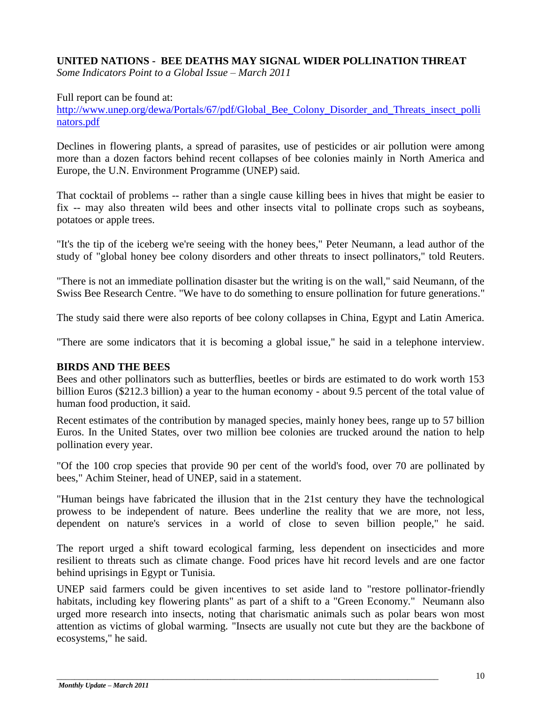#### **UNITED NATIONS - BEE DEATHS MAY SIGNAL WIDER POLLINATION THREAT**

*Some Indicators Point to a Global Issue – March 2011*

Full report can be found at:

[http://www.unep.org/dewa/Portals/67/pdf/Global\\_Bee\\_Colony\\_Disorder\\_and\\_Threats\\_insect\\_polli](http://www.unep.org/dewa/Portals/67/pdf/Global_Bee_Colony_Disorder_and_Threats_insect_pollinators.pdf) [nators.pdf](http://www.unep.org/dewa/Portals/67/pdf/Global_Bee_Colony_Disorder_and_Threats_insect_pollinators.pdf)

Declines in flowering plants, a spread of parasites, use of pesticides or air pollution were among more than a dozen factors behind recent collapses of bee colonies mainly in North America and Europe, the U.N. Environment Programme (UNEP) said.

That cocktail of problems -- rather than a single cause killing bees in hives that might be easier to fix -- may also threaten wild bees and other insects vital to pollinate crops such as soybeans, potatoes or apple trees.

"It's the tip of the iceberg we're seeing with the honey bees," Peter Neumann, a lead author of the study of "global honey bee colony disorders and other threats to insect pollinators," told Reuters.

"There is not an immediate pollination disaster but the writing is on the wall," said Neumann, of the Swiss Bee Research Centre. "We have to do something to ensure pollination for future generations."

The study said there were also reports of bee colony collapses in China, Egypt and Latin America.

"There are some indicators that it is becoming a global issue," he said in a telephone interview.

#### **BIRDS AND THE BEES**

Bees and other pollinators such as butterflies, beetles or birds are estimated to do work worth 153 billion Euros (\$212.3 billion) a year to the human economy - about 9.5 percent of the total value of human food production, it said.

Recent estimates of the contribution by managed species, mainly honey bees, range up to 57 billion Euros. In the United States, over two million bee colonies are trucked around the nation to help pollination every year.

"Of the 100 crop species that provide 90 per cent of the world's food, over 70 are pollinated by bees," Achim Steiner, head of UNEP, said in a statement.

"Human beings have fabricated the illusion that in the 21st century they have the technological prowess to be independent of nature. Bees underline the reality that we are more, not less, dependent on nature's services in a world of close to seven billion people," he said.

The report urged a shift toward ecological farming, less dependent on insecticides and more resilient to threats such as climate change. Food prices have hit record levels and are one factor behind uprisings in Egypt or Tunisia.

UNEP said farmers could be given incentives to set aside land to "restore pollinator-friendly habitats, including key flowering plants" as part of a shift to a "Green Economy." Neumann also urged more research into insects, noting that charismatic animals such as polar bears won most attention as victims of global warming. "Insects are usually not cute but they are the backbone of ecosystems," he said.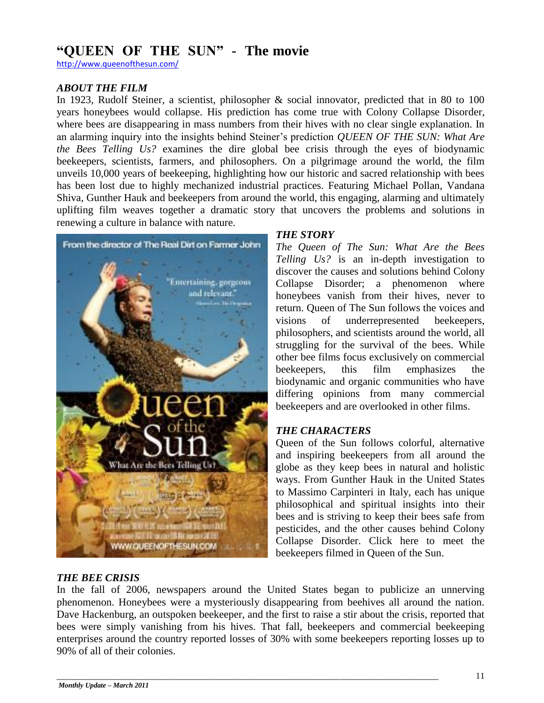### **"QUEEN OF THE SUN" - The movie**

<http://www.queenofthesun.com/>

#### *ABOUT THE FILM*

In 1923, Rudolf Steiner, a scientist, philosopher & social innovator, predicted that in 80 to 100 years honeybees would collapse. His prediction has come true with Colony Collapse Disorder, where bees are disappearing in mass numbers from their hives with no clear single explanation. In an alarming inquiry into the insights behind Steiner"s prediction *QUEEN OF THE SUN: What Are the Bees Telling Us?* examines the dire global bee crisis through the eyes of biodynamic beekeepers, scientists, farmers, and philosophers. On a pilgrimage around the world, the film unveils 10,000 years of beekeeping, highlighting how our historic and sacred relationship with bees has been lost due to highly mechanized industrial practices. Featuring Michael Pollan, Vandana Shiva, Gunther Hauk and beekeepers from around the world, this engaging, alarming and ultimately uplifting film weaves together a dramatic story that uncovers the problems and solutions in renewing a culture in balance with nature.



#### *THE BEE CRISIS*

#### *THE STORY*

*The Queen of The Sun: What Are the Bees Telling Us?* is an in-depth investigation to discover the causes and solutions behind Colony Collapse Disorder; a phenomenon where honeybees vanish from their hives, never to return. Queen of The Sun follows the voices and visions of underrepresented beekeepers, philosophers, and scientists around the world, all struggling for the survival of the bees. While other bee films focus exclusively on commercial beekeepers, this film emphasizes the biodynamic and organic communities who have differing opinions from many commercial beekeepers and are overlooked in other films.

#### *THE CHARACTERS*

Queen of the Sun follows colorful, alternative and inspiring beekeepers from all around the globe as they keep bees in natural and holistic ways. From Gunther Hauk in the United States to Massimo Carpinteri in Italy, each has unique philosophical and spiritual insights into their bees and is striving to keep their bees safe from pesticides, and the other causes behind Colony Collapse Disorder. Click here to meet the beekeepers filmed in Queen of the Sun.

In the fall of 2006, newspapers around the United States began to publicize an unnerving phenomenon. Honeybees were a mysteriously disappearing from beehives all around the nation. Dave Hackenburg, an outspoken beekeeper, and the first to raise a stir about the crisis, reported that bees were simply vanishing from his hives. That fall, beekeepers and commercial beekeeping enterprises around the country reported losses of 30% with some beekeepers reporting losses up to 90% of all of their colonies.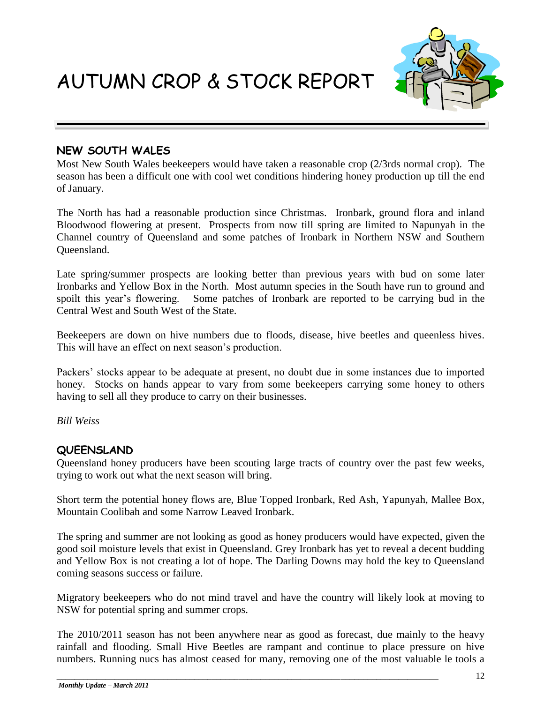AUTUMN CROP & STOCK REPORT



#### **NEW SOUTH WALES**

Most New South Wales beekeepers would have taken a reasonable crop (2/3rds normal crop). The season has been a difficult one with cool wet conditions hindering honey production up till the end of January.

The North has had a reasonable production since Christmas. Ironbark, ground flora and inland Bloodwood flowering at present. Prospects from now till spring are limited to Napunyah in the Channel country of Queensland and some patches of Ironbark in Northern NSW and Southern Queensland.

Late spring/summer prospects are looking better than previous years with bud on some later Ironbarks and Yellow Box in the North. Most autumn species in the South have run to ground and spoilt this year's flowering. Some patches of Ironbark are reported to be carrying bud in the Central West and South West of the State.

Beekeepers are down on hive numbers due to floods, disease, hive beetles and queenless hives. This will have an effect on next season"s production.

Packers" stocks appear to be adequate at present, no doubt due in some instances due to imported honey. Stocks on hands appear to vary from some beekeepers carrying some honey to others having to sell all they produce to carry on their businesses.

*Bill Weiss*

#### **QUEENSLAND**

Queensland honey producers have been scouting large tracts of country over the past few weeks, trying to work out what the next season will bring.

Short term the potential honey flows are, Blue Topped Ironbark, Red Ash, Yapunyah, Mallee Box, Mountain Coolibah and some Narrow Leaved Ironbark.

The spring and summer are not looking as good as honey producers would have expected, given the good soil moisture levels that exist in Queensland. Grey Ironbark has yet to reveal a decent budding and Yellow Box is not creating a lot of hope. The Darling Downs may hold the key to Queensland coming seasons success or failure.

Migratory beekeepers who do not mind travel and have the country will likely look at moving to NSW for potential spring and summer crops.

The 2010/2011 season has not been anywhere near as good as forecast, due mainly to the heavy rainfall and flooding. Small Hive Beetles are rampant and continue to place pressure on hive numbers. Running nucs has almost ceased for many, removing one of the most valuable le tools a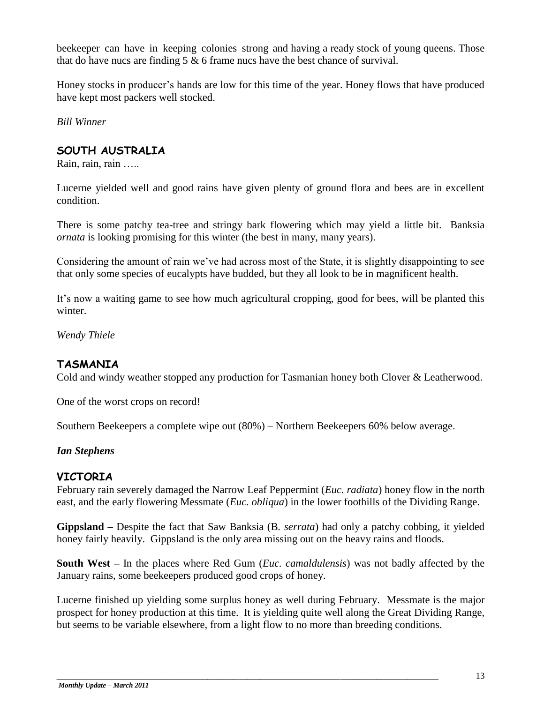beekeeper can have in keeping colonies strong and having a ready stock of young queens. Those that do have nucs are finding 5 & 6 frame nucs have the best chance of survival.

Honey stocks in producer"s hands are low for this time of the year. Honey flows that have produced have kept most packers well stocked.

*Bill Winner*

#### **SOUTH AUSTRALIA**

Rain, rain, rain …..

Lucerne yielded well and good rains have given plenty of ground flora and bees are in excellent condition.

There is some patchy tea-tree and stringy bark flowering which may yield a little bit. Banksia *ornata* is looking promising for this winter (the best in many, many years).

Considering the amount of rain we"ve had across most of the State, it is slightly disappointing to see that only some species of eucalypts have budded, but they all look to be in magnificent health.

It's now a waiting game to see how much agricultural cropping, good for bees, will be planted this winter.

*Wendy Thiele*

#### **TASMANIA**

Cold and windy weather stopped any production for Tasmanian honey both Clover & Leatherwood.

One of the worst crops on record!

Southern Beekeepers a complete wipe out (80%) – Northern Beekeepers 60% below average.

#### *Ian Stephens*

#### **VICTORIA**

February rain severely damaged the Narrow Leaf Peppermint (*Euc. radiata*) honey flow in the north east, and the early flowering Messmate (*Euc. obliqua*) in the lower foothills of the Dividing Range.

**Gippsland –** Despite the fact that Saw Banksia (B*. serrata*) had only a patchy cobbing, it yielded honey fairly heavily. Gippsland is the only area missing out on the heavy rains and floods.

**South West –** In the places where Red Gum (*Euc. camaldulensis*) was not badly affected by the January rains, some beekeepers produced good crops of honey.

Lucerne finished up yielding some surplus honey as well during February. Messmate is the major prospect for honey production at this time. It is yielding quite well along the Great Dividing Range, but seems to be variable elsewhere, from a light flow to no more than breeding conditions.